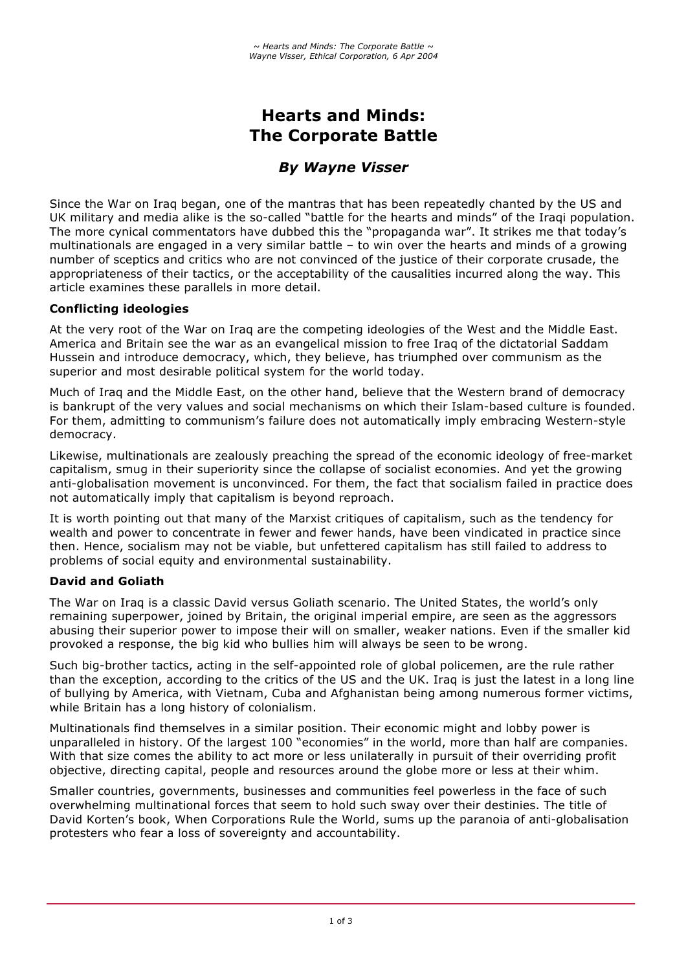# **Hearts and Minds: The Corporate Battle**

## *By Wayne Visser*

Since the War on Iraq began, one of the mantras that has been repeatedly chanted by the US and UK military and media alike is the so-called "battle for the hearts and minds" of the Iraqi population. The more cynical commentators have dubbed this the "propaganda war". It strikes me that today's multinationals are engaged in a very similar battle – to win over the hearts and minds of a growing number of sceptics and critics who are not convinced of the justice of their corporate crusade, the appropriateness of their tactics, or the acceptability of the causalities incurred along the way. This article examines these parallels in more detail.

## **Conflicting ideologies**

At the very root of the War on Iraq are the competing ideologies of the West and the Middle East. America and Britain see the war as an evangelical mission to free Iraq of the dictatorial Saddam Hussein and introduce democracy, which, they believe, has triumphed over communism as the superior and most desirable political system for the world today.

Much of Iraq and the Middle East, on the other hand, believe that the Western brand of democracy is bankrupt of the very values and social mechanisms on which their Islam-based culture is founded. For them, admitting to communism's failure does not automatically imply embracing Western-style democracy.

Likewise, multinationals are zealously preaching the spread of the economic ideology of free-market capitalism, smug in their superiority since the collapse of socialist economies. And yet the growing anti-globalisation movement is unconvinced. For them, the fact that socialism failed in practice does not automatically imply that capitalism is beyond reproach.

It is worth pointing out that many of the Marxist critiques of capitalism, such as the tendency for wealth and power to concentrate in fewer and fewer hands, have been vindicated in practice since then. Hence, socialism may not be viable, but unfettered capitalism has still failed to address to problems of social equity and environmental sustainability.

## **David and Goliath**

The War on Iraq is a classic David versus Goliath scenario. The United States, the world's only remaining superpower, joined by Britain, the original imperial empire, are seen as the aggressors abusing their superior power to impose their will on smaller, weaker nations. Even if the smaller kid provoked a response, the big kid who bullies him will always be seen to be wrong.

Such big-brother tactics, acting in the self-appointed role of global policemen, are the rule rather than the exception, according to the critics of the US and the UK. Iraq is just the latest in a long line of bullying by America, with Vietnam, Cuba and Afghanistan being among numerous former victims, while Britain has a long history of colonialism.

Multinationals find themselves in a similar position. Their economic might and lobby power is unparalleled in history. Of the largest 100 "economies" in the world, more than half are companies. With that size comes the ability to act more or less unilaterally in pursuit of their overriding profit objective, directing capital, people and resources around the globe more or less at their whim.

Smaller countries, governments, businesses and communities feel powerless in the face of such overwhelming multinational forces that seem to hold such sway over their destinies. The title of David Korten's book, When Corporations Rule the World, sums up the paranoia of anti-globalisation protesters who fear a loss of sovereignty and accountability.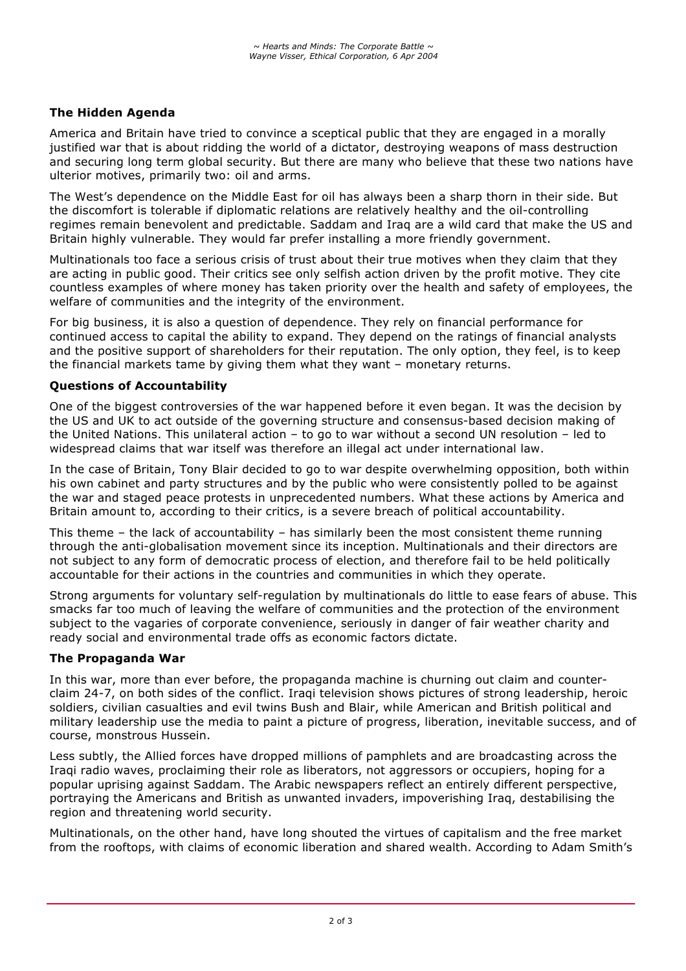## **The Hidden Agenda**

America and Britain have tried to convince a sceptical public that they are engaged in a morally justified war that is about ridding the world of a dictator, destroying weapons of mass destruction and securing long term global security. But there are many who believe that these two nations have ulterior motives, primarily two: oil and arms.

The West's dependence on the Middle East for oil has always been a sharp thorn in their side. But the discomfort is tolerable if diplomatic relations are relatively healthy and the oil-controlling regimes remain benevolent and predictable. Saddam and Iraq are a wild card that make the US and Britain highly vulnerable. They would far prefer installing a more friendly government.

Multinationals too face a serious crisis of trust about their true motives when they claim that they are acting in public good. Their critics see only selfish action driven by the profit motive. They cite countless examples of where money has taken priority over the health and safety of employees, the welfare of communities and the integrity of the environment.

For big business, it is also a question of dependence. They rely on financial performance for continued access to capital the ability to expand. They depend on the ratings of financial analysts and the positive support of shareholders for their reputation. The only option, they feel, is to keep the financial markets tame by giving them what they want – monetary returns.

#### **Questions of Accountability**

One of the biggest controversies of the war happened before it even began. It was the decision by the US and UK to act outside of the governing structure and consensus-based decision making of the United Nations. This unilateral action – to go to war without a second UN resolution – led to widespread claims that war itself was therefore an illegal act under international law.

In the case of Britain, Tony Blair decided to go to war despite overwhelming opposition, both within his own cabinet and party structures and by the public who were consistently polled to be against the war and staged peace protests in unprecedented numbers. What these actions by America and Britain amount to, according to their critics, is a severe breach of political accountability.

This theme – the lack of accountability – has similarly been the most consistent theme running through the anti-globalisation movement since its inception. Multinationals and their directors are not subject to any form of democratic process of election, and therefore fail to be held politically accountable for their actions in the countries and communities in which they operate.

Strong arguments for voluntary self-regulation by multinationals do little to ease fears of abuse. This smacks far too much of leaving the welfare of communities and the protection of the environment subject to the vagaries of corporate convenience, seriously in danger of fair weather charity and ready social and environmental trade offs as economic factors dictate.

#### **The Propaganda War**

In this war, more than ever before, the propaganda machine is churning out claim and counterclaim 24-7, on both sides of the conflict. Iraqi television shows pictures of strong leadership, heroic soldiers, civilian casualties and evil twins Bush and Blair, while American and British political and military leadership use the media to paint a picture of progress, liberation, inevitable success, and of course, monstrous Hussein.

Less subtly, the Allied forces have dropped millions of pamphlets and are broadcasting across the Iraqi radio waves, proclaiming their role as liberators, not aggressors or occupiers, hoping for a popular uprising against Saddam. The Arabic newspapers reflect an entirely different perspective, portraying the Americans and British as unwanted invaders, impoverishing Iraq, destabilising the region and threatening world security.

Multinationals, on the other hand, have long shouted the virtues of capitalism and the free market from the rooftops, with claims of economic liberation and shared wealth. According to Adam Smith's